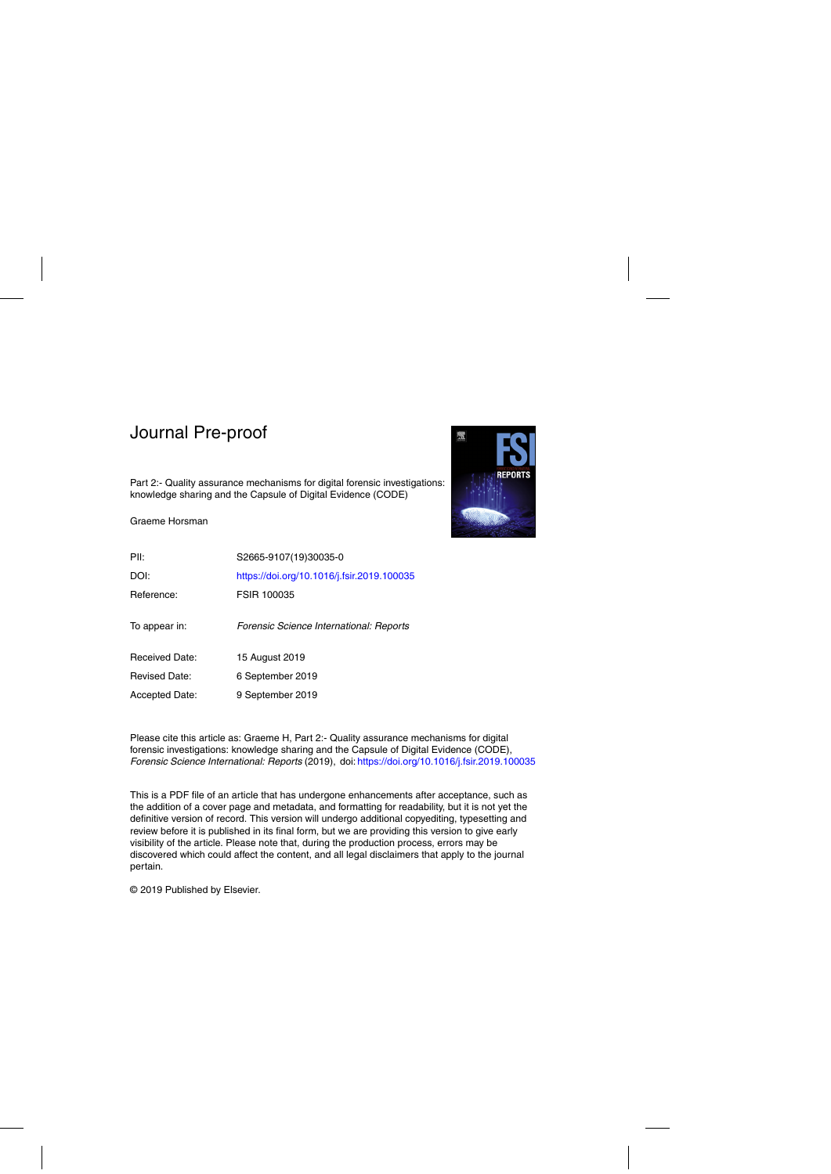Part 2:- Quality assurance mechanisms for digital forensic investigations: knowledge sharing and the Capsule of Digital Evidence (CODE)

Graeme Horsman



| PII:                  | S2665-9107(19)30035-0                      |
|-----------------------|--------------------------------------------|
| DOI:                  | https://doi.org/10.1016/j.fsir.2019.100035 |
| Reference:            | <b>FSIR 100035</b>                         |
| To appear in:         | Forensic Science International: Reports    |
| <b>Received Date:</b> | 15 August 2019                             |
| <b>Revised Date:</b>  | 6 September 2019                           |
| Accepted Date:        | 9 September 2019                           |

Please cite this article as: Graeme H, Part 2:- Quality assurance mechanisms for digital forensic investigations: knowledge sharing and the Capsule of Digital Evidence (CODE), Forensic Science International: Reports (2019), doi: <https://doi.org/10.1016/j.fsir.2019.100035>

This is a PDF file of an article that has undergone enhancements after acceptance, such as the addition of a cover page and metadata, and formatting for readability, but it is not yet the definitive version of record. This version will undergo additional copyediting, typesetting and review before it is published in its final form, but we are providing this version to give early visibility of the article. Please note that, during the production process, errors may be discovered which could affect the content, and all legal disclaimers that apply to the journal pertain.

© 2019 Published by Elsevier.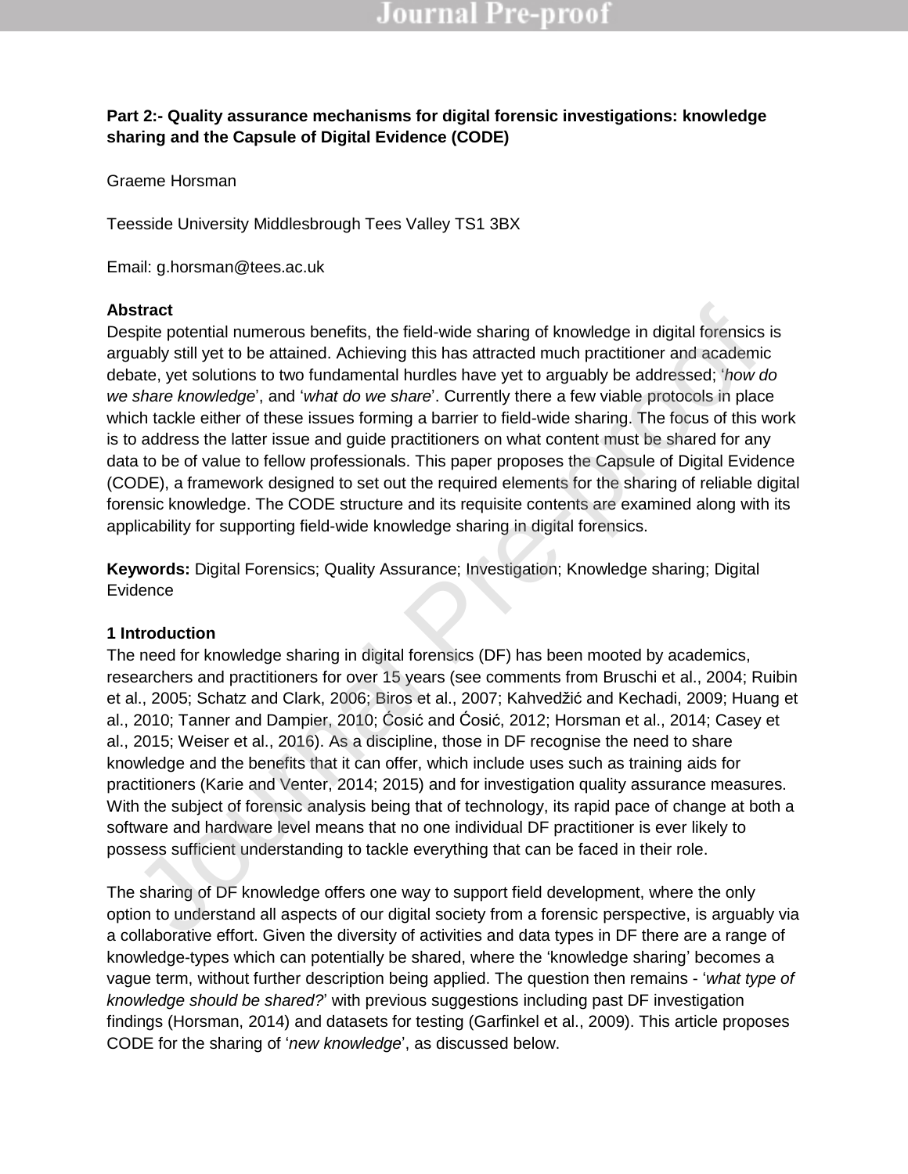## **Part 2:- Quality assurance mechanisms for digital forensic investigations: knowledge sharing and the Capsule of Digital Evidence (CODE)**

Graeme Horsman

Teesside University Middlesbrough Tees Valley TS1 3BX

Email: [g.horsman@tees.ac.uk](mailto:g.horsman@tees.ac.uk)

### **Abstract**

Despite potential numerous benefits, the field-wide sharing of knowledge in digital forensics is arguably still yet to be attained. Achieving this has attracted much practitioner and academic debate, yet solutions to two fundamental hurdles have yet to arguably be addressed; '*how do we share knowledge*', and '*what do we share*'. Currently there a few viable protocols in place which tackle either of these issues forming a barrier to field-wide sharing. The focus of this work is to address the latter issue and guide practitioners on what content must be shared for any data to be of value to fellow professionals. This paper proposes the Capsule of Digital Evidence (CODE), a framework designed to set out the required elements for the sharing of reliable digital forensic knowledge. The CODE structure and its requisite contents are examined along with its applicability for supporting field-wide knowledge sharing in digital forensics. **strate**<br> **estance**<br> **estance**<br> **properation** Internous benefits, the field-wide sharing of knowledge in digital forensics<br>
probably still yet to be attained. Achieving this has attracted much practitioner and academia<br>
al

**Keywords:** Digital Forensics; Quality Assurance; Investigation; Knowledge sharing; Digital Evidence

### **1 Introduction**

The need for knowledge sharing in digital forensics (DF) has been mooted by academics, researchers and practitioners for over 15 years (see comments from Bruschi et al., 2004; Ruibin et al., 2005; Schatz and Clark, 2006; Biros et al., 2007; Kahvedžić and Kechadi, 2009; Huang et al., 2010; Tanner and Dampier, 2010; Ćosić and Ćosić, 2012; Horsman et al., 2014; Casey et al., 2015; Weiser et al., 2016). As a discipline, those in DF recognise the need to share knowledge and the benefits that it can offer, which include uses such as training aids for practitioners (Karie and Venter, 2014; 2015) and for investigation quality assurance measures. With the subject of forensic analysis being that of technology, its rapid pace of change at both a software and hardware level means that no one individual DF practitioner is ever likely to possess sufficient understanding to tackle everything that can be faced in their role.

The sharing of DF knowledge offers one way to support field development, where the only option to understand all aspects of our digital society from a forensic perspective, is arguably via a collaborative effort. Given the diversity of activities and data types in DF there are a range of knowledge-types which can potentially be shared, where the 'knowledge sharing' becomes a vague term, without further description being applied. The question then remains - '*what type of knowledge should be shared?*' with previous suggestions including past DF investigation findings (Horsman, 2014) and datasets for testing (Garfinkel et al., 2009). This article proposes CODE for the sharing of '*new knowledge*', as discussed below.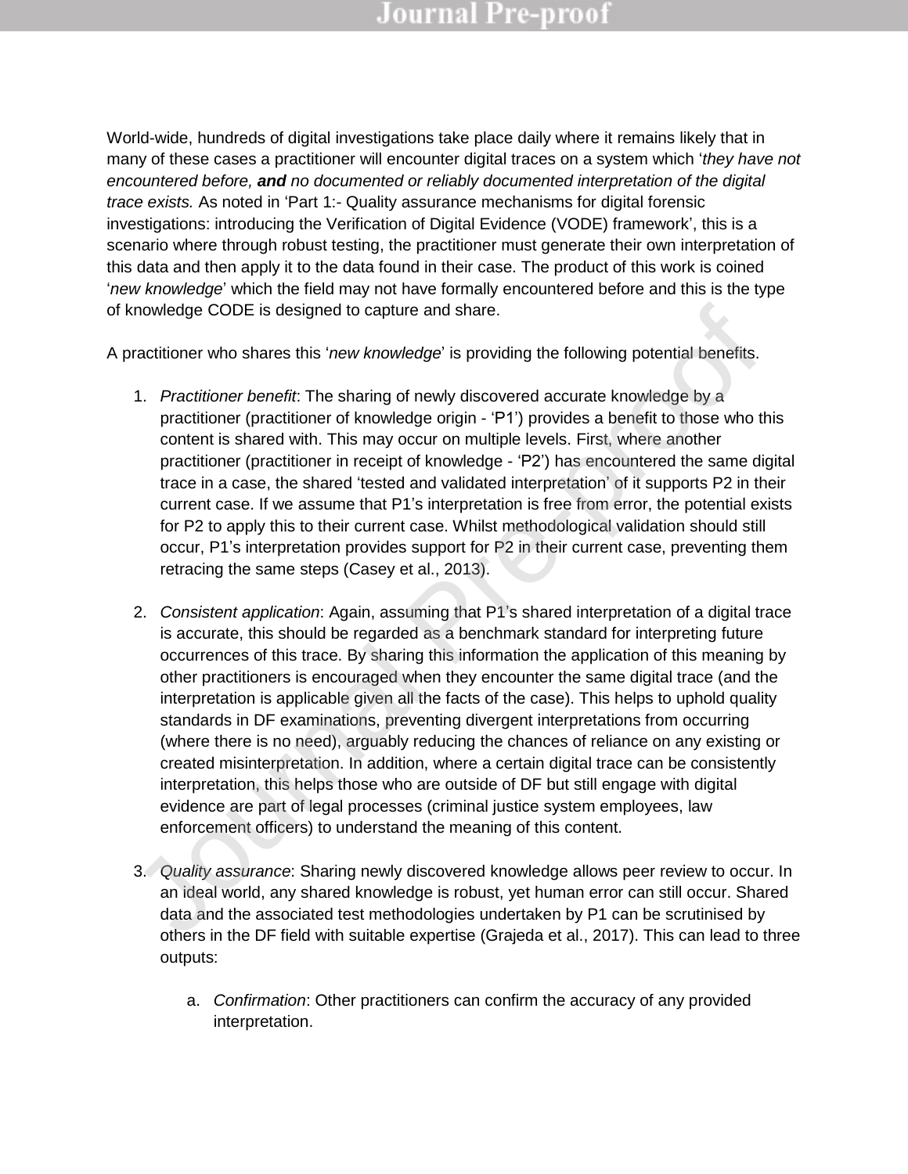World-wide, hundreds of digital investigations take place daily where it remains likely that in many of these cases a practitioner will encounter digital traces on a system which '*they have not encountered before, and no documented or reliably documented interpretation of the digital trace exists.* As noted in 'Part 1:- Quality assurance mechanisms for digital forensic investigations: introducing the Verification of Digital Evidence (VODE) framework', this is a scenario where through robust testing, the practitioner must generate their own interpretation of this data and then apply it to the data found in their case. The product of this work is coined '*new knowledge*' which the field may not have formally encountered before and this is the type of knowledge CODE is designed to capture and share.

A practitioner who shares this '*new knowledge*' is providing the following potential benefits.

- 1. *Practitioner benefit*: The sharing of newly discovered accurate knowledge by a practitioner (practitioner of knowledge origin - 'P1') provides a benefit to those who this content is shared with. This may occur on multiple levels. First, where another practitioner (practitioner in receipt of knowledge - 'P2') has encountered the same digital trace in a case, the shared 'tested and validated interpretation' of it supports P2 in their current case. If we assume that P1's interpretation is free from error, the potential exists for P2 to apply this to their current case. Whilst methodological validation should still occur, P1's interpretation provides support for P2 in their current case, preventing them retracing the same steps (Casey et al., 2013).
- 2. *Consistent application*: Again, assuming that P1's shared interpretation of a digital trace is accurate, this should be regarded as a benchmark standard for interpreting future occurrences of this trace. By sharing this information the application of this meaning by other practitioners is encouraged when they encounter the same digital trace (and the interpretation is applicable given all the facts of the case). This helps to uphold quality standards in DF examinations, preventing divergent interpretations from occurring (where there is no need), arguably reducing the chances of reliance on any existing or created misinterpretation. In addition, where a certain digital trace can be consistently interpretation, this helps those who are outside of DF but still engage with digital evidence are part of legal processes (criminal justice system employees, law enforcement officers) to understand the meaning of this content. conveloge CODE is designed to capture and share.<br>
Tractitioner who shares this 'new knowledge' is providing the following potential benefits.<br>
1. Practitioner benefit. The sharing of newly discovered accurate knowledge by
- 3. *Quality assurance*: Sharing newly discovered knowledge allows peer review to occur. In an ideal world, any shared knowledge is robust, yet human error can still occur. Shared data and the associated test methodologies undertaken by P1 can be scrutinised by others in the DF field with suitable expertise (Grajeda et al., 2017). This can lead to three outputs:
	- a. *Confirmation*: Other practitioners can confirm the accuracy of any provided interpretation.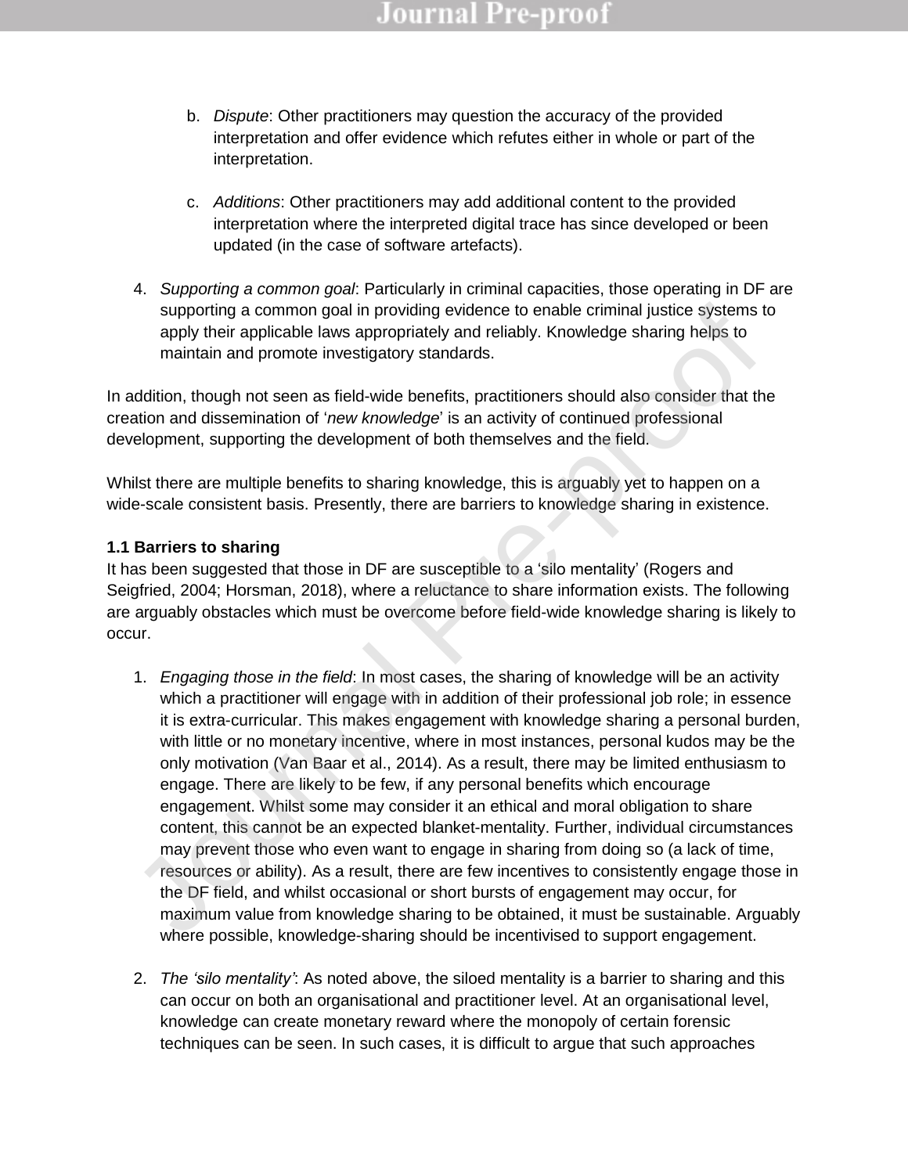- b. *Dispute*: Other practitioners may question the accuracy of the provided interpretation and offer evidence which refutes either in whole or part of the interpretation.
- c. *Additions*: Other practitioners may add additional content to the provided interpretation where the interpreted digital trace has since developed or been updated (in the case of software artefacts).
- 4. *Supporting a common goal*: Particularly in criminal capacities, those operating in DF are supporting a common goal in providing evidence to enable criminal justice systems to apply their applicable laws appropriately and reliably. Knowledge sharing helps to maintain and promote investigatory standards.

In addition, though not seen as field-wide benefits, practitioners should also consider that the creation and dissemination of '*new knowledge*' is an activity of continued professional development, supporting the development of both themselves and the field.

Whilst there are multiple benefits to sharing knowledge, this is arguably yet to happen on a wide-scale consistent basis. Presently, there are barriers to knowledge sharing in existence.

## **1.1 Barriers to sharing**

It has been suggested that those in DF are susceptible to a 'silo mentality' (Rogers and Seigfried, 2004; Horsman, 2018), where a reluctance to share information exists. The following are arguably obstacles which must be overcome before field-wide knowledge sharing is likely to occur.

- 1. *Engaging those in the field*: In most cases, the sharing of knowledge will be an activity which a practitioner will engage with in addition of their professional job role; in essence it is extra-curricular. This makes engagement with knowledge sharing a personal burden, with little or no monetary incentive, where in most instances, personal kudos may be the only motivation (Van Baar et al., 2014). As a result, there may be limited enthusiasm to engage. There are likely to be few, if any personal benefits which encourage engagement. Whilst some may consider it an ethical and moral obligation to share content, this cannot be an expected blanket-mentality. Further, individual circumstances may prevent those who even want to engage in sharing from doing so (a lack of time, resources or ability). As a result, there are few incentives to consistently engage those in the DF field, and whilst occasional or short bursts of engagement may occur, for maximum value from knowledge sharing to be obtained, it must be sustainable. Arguably where possible, knowledge-sharing should be incentivised to support engagement. supporting a common goal in providing evidence to enable criminal justice systems<br>
apply their applicable laws appropriately and reliably. Knowledge sharing helps to<br>
maintain and promote investigatory standards.<br>
Arowledg
- 2. *The 'silo mentality'*: As noted above, the siloed mentality is a barrier to sharing and this can occur on both an organisational and practitioner level. At an organisational level, knowledge can create monetary reward where the monopoly of certain forensic techniques can be seen. In such cases, it is difficult to argue that such approaches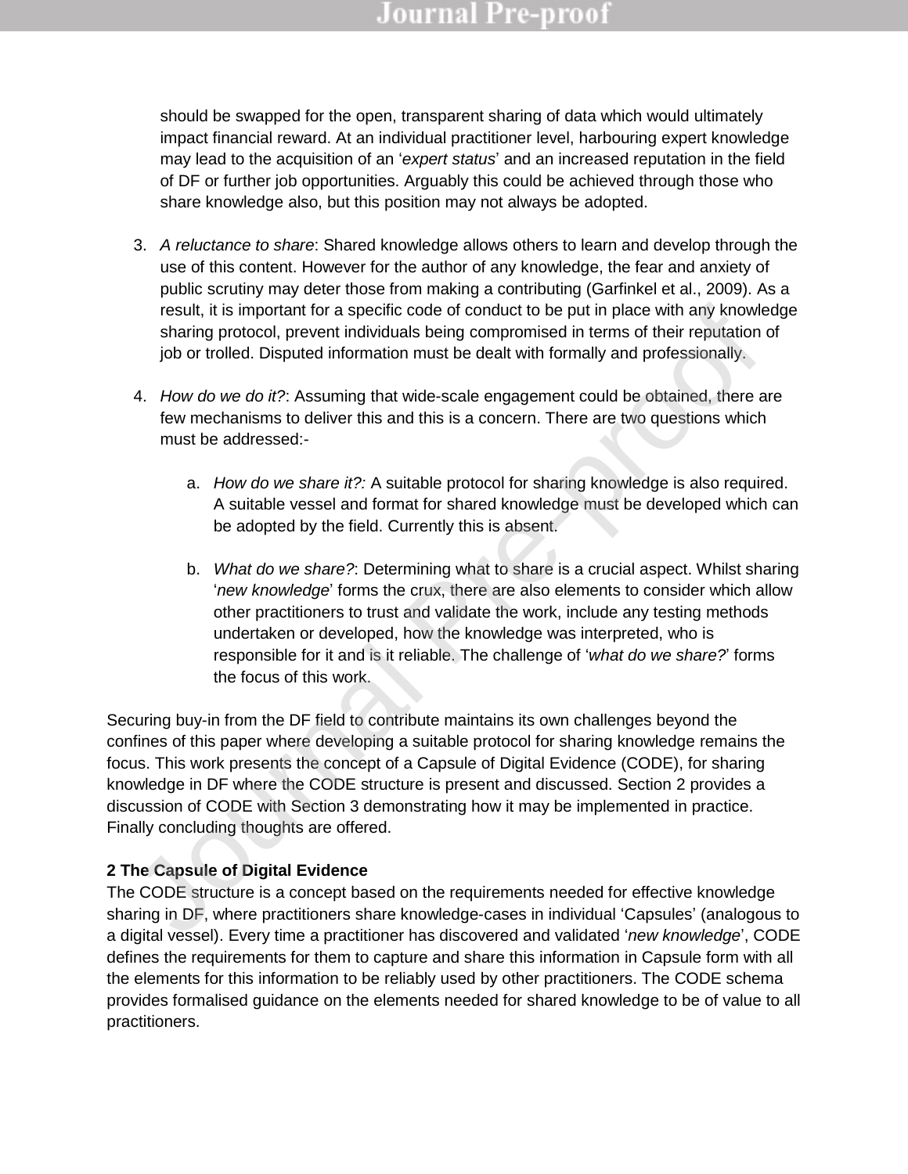should be swapped for the open, transparent sharing of data which would ultimately impact financial reward. At an individual practitioner level, harbouring expert knowledge may lead to the acquisition of an '*expert status*' and an increased reputation in the field of DF or further job opportunities. Arguably this could be achieved through those who share knowledge also, but this position may not always be adopted.

- 3. *A reluctance to share*: Shared knowledge allows others to learn and develop through the use of this content. However for the author of any knowledge, the fear and anxiety of public scrutiny may deter those from making a contributing (Garfinkel et al., 2009). As a result, it is important for a specific code of conduct to be put in place with any knowledge sharing protocol, prevent individuals being compromised in terms of their reputation of job or trolled. Disputed information must be dealt with formally and professionally.
- 4. *How do we do it?*: Assuming that wide-scale engagement could be obtained, there are few mechanisms to deliver this and this is a concern. There are two questions which must be addressed:
	- a. *How do we share it?:* A suitable protocol for sharing knowledge is also required. A suitable vessel and format for shared knowledge must be developed which can be adopted by the field. Currently this is absent.
	- b. *What do we share?*: Determining what to share is a crucial aspect. Whilst sharing '*new knowledge*' forms the crux, there are also elements to consider which allow other practitioners to trust and validate the work, include any testing methods undertaken or developed, how the knowledge was interpreted, who is responsible for it and is it reliable. The challenge of '*what do we share?*' forms the focus of this work.

Securing buy-in from the DF field to contribute maintains its own challenges beyond the confines of this paper where developing a suitable protocol for sharing knowledge remains the focus. This work presents the concept of a Capsule of Digital Evidence (CODE), for sharing knowledge in DF where the CODE structure is present and discussed. Section 2 provides a discussion of CODE with Section 3 demonstrating how it may be implemented in practice. Finally concluding thoughts are offered. result, it is important for a specific code of conduct to be put in place with any knowline<br>sharing protocol, prevent individuals being compromised in terms of their repulation<br>job or trolled. Disputed information must be

## **2 The Capsule of Digital Evidence**

The CODE structure is a concept based on the requirements needed for effective knowledge sharing in DF, where practitioners share knowledge-cases in individual 'Capsules' (analogous to a digital vessel). Every time a practitioner has discovered and validated '*new knowledge*', CODE defines the requirements for them to capture and share this information in Capsule form with all the elements for this information to be reliably used by other practitioners. The CODE schema provides formalised guidance on the elements needed for shared knowledge to be of value to all practitioners.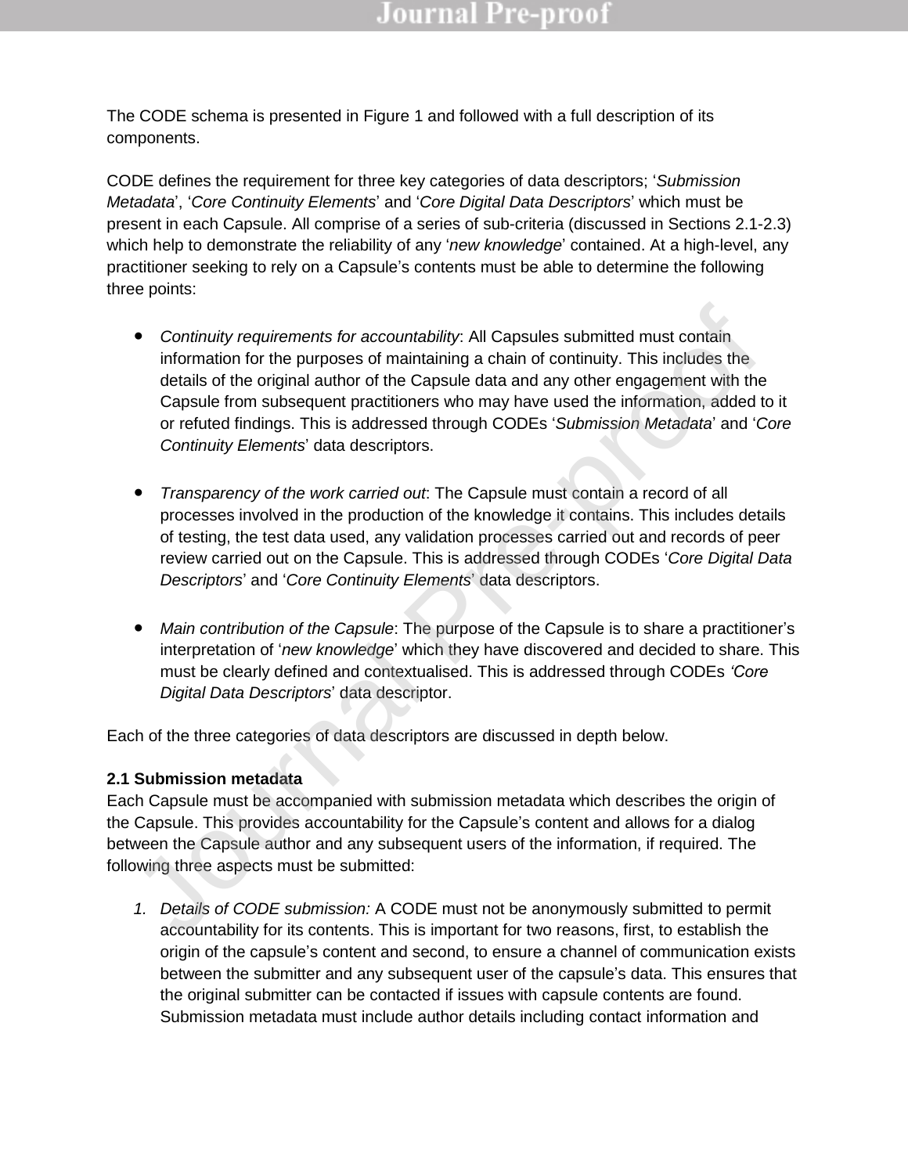The CODE schema is presented in Figure 1 and followed with a full description of its components.

CODE defines the requirement for three key categories of data descriptors; '*Submission Metadata*', '*Core Continuity Elements*' and '*Core Digital Data Descriptors*' which must be present in each Capsule. All comprise of a series of sub-criteria (discussed in Sections 2.1-2.3) which help to demonstrate the reliability of any '*new knowledge*' contained. At a high-level, any practitioner seeking to rely on a Capsule's contents must be able to determine the following three points:

- *Continuity requirements for accountability*: All Capsules submitted must contain information for the purposes of maintaining a chain of continuity. This includes the details of the original author of the Capsule data and any other engagement with the Capsule from subsequent practitioners who may have used the information, added to it or refuted findings. This is addressed through CODEs '*Submission Metadata*' and '*Core Continuity Elements*' data descriptors. • Continuity requirements for accountability. All Capsules submitted must contain<br>information for the purposes of maintaining a chain of continuity. This includes the<br>details of the original author of the Capsule data and
- *Transparency of the work carried out*: The Capsule must contain a record of all processes involved in the production of the knowledge it contains. This includes details of testing, the test data used, any validation processes carried out and records of peer review carried out on the Capsule. This is addressed through CODEs '*Core Digital Data Descriptors*' and '*Core Continuity Elements*' data descriptors.
- *Main contribution of the Capsule*: The purpose of the Capsule is to share a practitioner's interpretation of '*new knowledge*' which they have discovered and decided to share. This must be clearly defined and contextualised. This is addressed through CODEs *'Core Digital Data Descriptors*' data descriptor.

Each of the three categories of data descriptors are discussed in depth below.

## **2.1 Submission metadata**

Each Capsule must be accompanied with submission metadata which describes the origin of the Capsule. This provides accountability for the Capsule's content and allows for a dialog between the Capsule author and any subsequent users of the information, if required. The following three aspects must be submitted:

*1. Details of CODE submission:* A CODE must not be anonymously submitted to permit accountability for its contents. This is important for two reasons, first, to establish the origin of the capsule's content and second, to ensure a channel of communication exists between the submitter and any subsequent user of the capsule's data. This ensures that the original submitter can be contacted if issues with capsule contents are found. Submission metadata must include author details including contact information and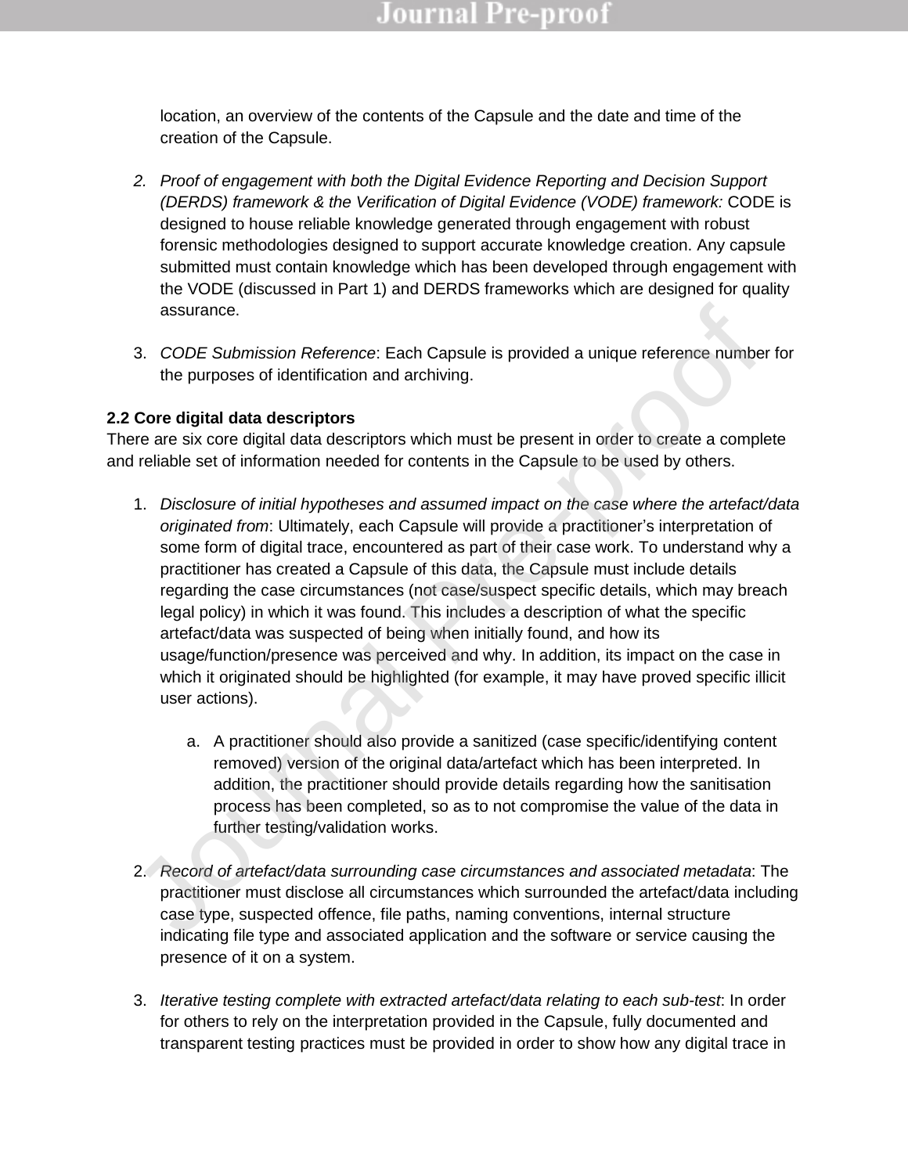location, an overview of the contents of the Capsule and the date and time of the creation of the Capsule.

- *2. Proof of engagement with both the Digital Evidence Reporting and Decision Support (DERDS) framework & the Verification of Digital Evidence (VODE) framework:* CODE is designed to house reliable knowledge generated through engagement with robust forensic methodologies designed to support accurate knowledge creation. Any capsule submitted must contain knowledge which has been developed through engagement with the VODE (discussed in Part 1) and DERDS frameworks which are designed for quality assurance.
- 3. *CODE Submission Reference*: Each Capsule is provided a unique reference number for the purposes of identification and archiving.

### **2.2 Core digital data descriptors**

There are six core digital data descriptors which must be present in order to create a complete and reliable set of information needed for contents in the Capsule to be used by others.

- 1. *Disclosure of initial hypotheses and assumed impact on the case where the artefact/data originated from*: Ultimately, each Capsule will provide a practitioner's interpretation of some form of digital trace, encountered as part of their case work. To understand why a practitioner has created a Capsule of this data, the Capsule must include details regarding the case circumstances (not case/suspect specific details, which may breach legal policy) in which it was found. This includes a description of what the specific artefact/data was suspected of being when initially found, and how its usage/function/presence was perceived and why. In addition, its impact on the case in which it originated should be highlighted (for example, it may have proved specific illicit user actions). assurance.<br>
3. *CODE Submission Reference*: Each Capsule is provided a unique reference numbe<br>
the purposes of identification and archiving.<br> **Core digital data descriptors**<br>
the digital data descriptors<br>
the digital data
	- a. A practitioner should also provide a sanitized (case specific/identifying content removed) version of the original data/artefact which has been interpreted. In addition, the practitioner should provide details regarding how the sanitisation process has been completed, so as to not compromise the value of the data in further testing/validation works.
- 2. *Record of artefact/data surrounding case circumstances and associated metadata*: The practitioner must disclose all circumstances which surrounded the artefact/data including case type, suspected offence, file paths, naming conventions, internal structure indicating file type and associated application and the software or service causing the presence of it on a system.
- 3. *Iterative testing complete with extracted artefact/data relating to each sub-test*: In order for others to rely on the interpretation provided in the Capsule, fully documented and transparent testing practices must be provided in order to show how any digital trace in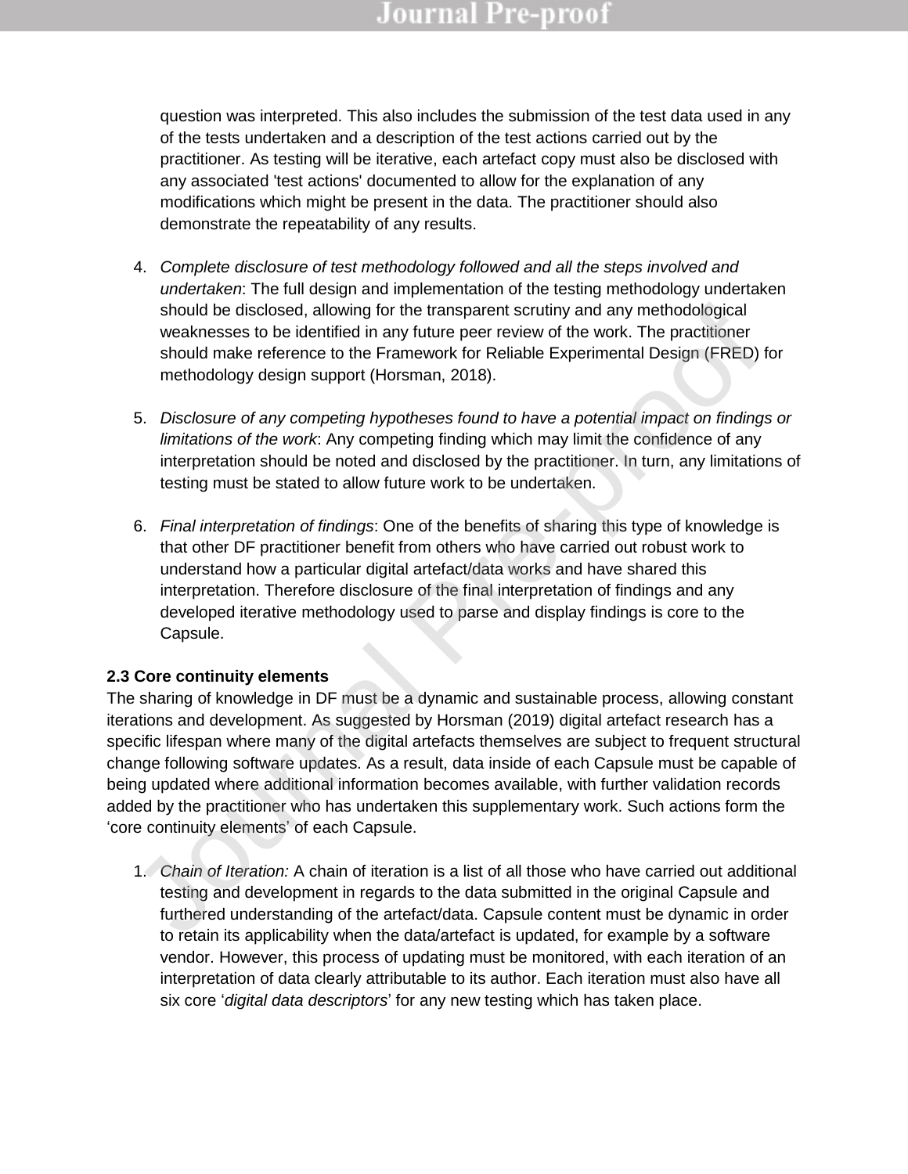question was interpreted. This also includes the submission of the test data used in any of the tests undertaken and a description of the test actions carried out by the practitioner. As testing will be iterative, each artefact copy must also be disclosed with any associated 'test actions' documented to allow for the explanation of any modifications which might be present in the data. The practitioner should also demonstrate the repeatability of any results.

- 4. *Complete disclosure of test methodology followed and all the steps involved and undertaken*: The full design and implementation of the testing methodology undertaken should be disclosed, allowing for the transparent scrutiny and any methodological weaknesses to be identified in any future peer review of the work. The practitioner should make reference to the Framework for Reliable Experimental Design (FRED) for methodology design support (Horsman, 2018).
- 5. *Disclosure of any competing hypotheses found to have a potential impact on findings or limitations of the work*: Any competing finding which may limit the confidence of any interpretation should be noted and disclosed by the practitioner. In turn, any limitations of testing must be stated to allow future work to be undertaken.
- 6. *Final interpretation of findings*: One of the benefits of sharing this type of knowledge is that other DF practitioner benefit from others who have carried out robust work to understand how a particular digital artefact/data works and have shared this interpretation. Therefore disclosure of the final interpretation of findings and any developed iterative methodology used to parse and display findings is core to the Capsule.

## **2.3 Core continuity elements**

The sharing of knowledge in DF must be a dynamic and sustainable process, allowing constant iterations and development. As suggested by Horsman (2019) digital artefact research has a specific lifespan where many of the digital artefacts themselves are subject to frequent structural change following software updates. As a result, data inside of each Capsule must be capable of being updated where additional information becomes available, with further validation records added by the practitioner who has undertaken this supplementary work. Such actions form the 'core continuity elements' of each Capsule. should be disclosed, allowing for the transparent scruttiny and any methodological<br>weaknesses to be identified in any future peer review of the work. The practitioner<br>should make reference to the Framework for Reliable Exp

1. *Chain of Iteration:* A chain of iteration is a list of all those who have carried out additional testing and development in regards to the data submitted in the original Capsule and furthered understanding of the artefact/data. Capsule content must be dynamic in order to retain its applicability when the data/artefact is updated, for example by a software vendor. However, this process of updating must be monitored, with each iteration of an interpretation of data clearly attributable to its author. Each iteration must also have all six core '*digital data descriptors*' for any new testing which has taken place.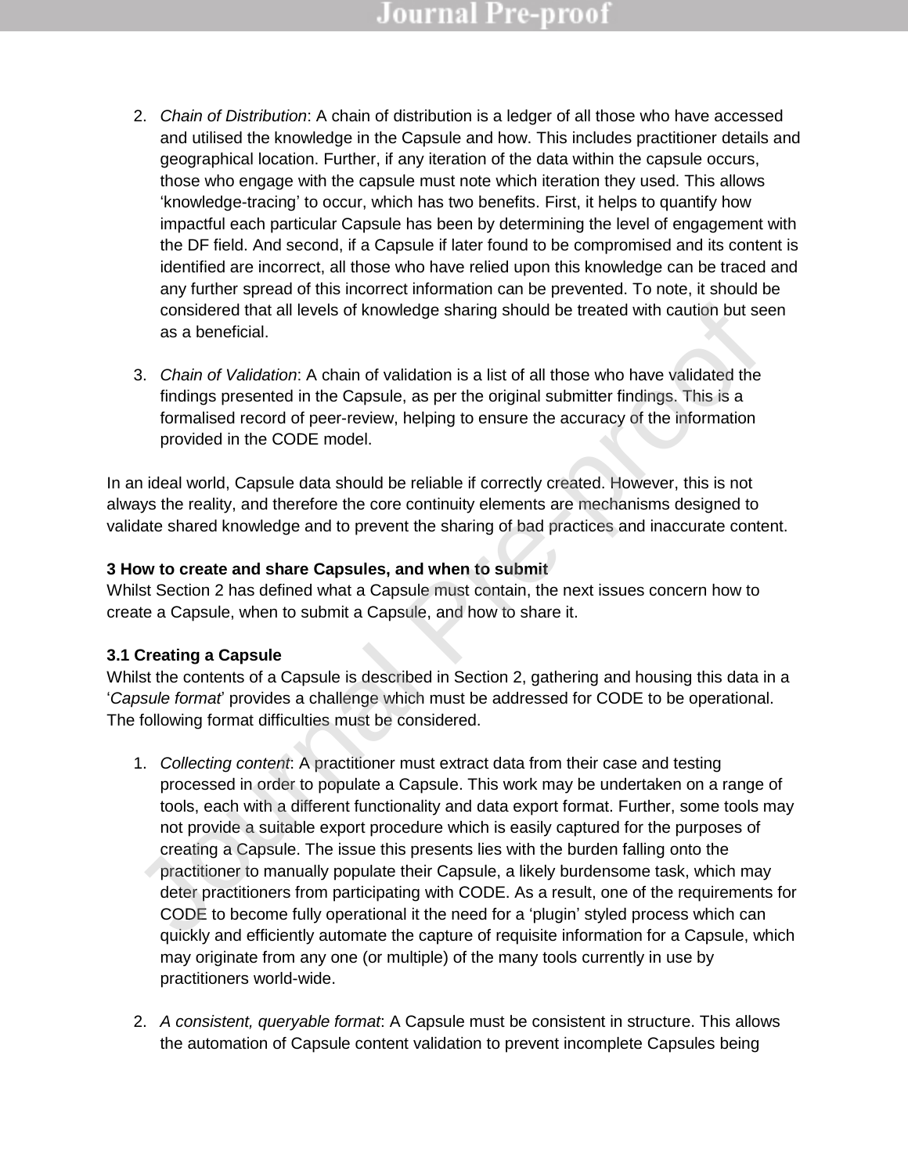- 2. *Chain of Distribution*: A chain of distribution is a ledger of all those who have accessed and utilised the knowledge in the Capsule and how. This includes practitioner details and geographical location. Further, if any iteration of the data within the capsule occurs, those who engage with the capsule must note which iteration they used. This allows 'knowledge-tracing' to occur, which has two benefits. First, it helps to quantify how impactful each particular Capsule has been by determining the level of engagement with the DF field. And second, if a Capsule if later found to be compromised and its content is identified are incorrect, all those who have relied upon this knowledge can be traced and any further spread of this incorrect information can be prevented. To note, it should be considered that all levels of knowledge sharing should be treated with caution but seen as a beneficial.
- 3. *Chain of Validation*: A chain of validation is a list of all those who have validated the findings presented in the Capsule, as per the original submitter findings. This is a formalised record of peer-review, helping to ensure the accuracy of the information provided in the CODE model.

In an ideal world, Capsule data should be reliable if correctly created. However, this is not always the reality, and therefore the core continuity elements are mechanisms designed to validate shared knowledge and to prevent the sharing of bad practices and inaccurate content.

### **3 How to create and share Capsules, and when to submit**

Whilst Section 2 has defined what a Capsule must contain, the next issues concern how to create a Capsule, when to submit a Capsule, and how to share it.

### **3.1 Creating a Capsule**

Whilst the contents of a Capsule is described in Section 2, gathering and housing this data in a '*Capsule format*' provides a challenge which must be addressed for CODE to be operational. The following format difficulties must be considered.

- 1. *Collecting content*: A practitioner must extract data from their case and testing processed in order to populate a Capsule. This work may be undertaken on a range of tools, each with a different functionality and data export format. Further, some tools may not provide a suitable export procedure which is easily captured for the purposes of creating a Capsule. The issue this presents lies with the burden falling onto the practitioner to manually populate their Capsule, a likely burdensome task, which may deter practitioners from participating with CODE. As a result, one of the requirements for CODE to become fully operational it the need for a 'plugin' styled process which can quickly and efficiently automate the capture of requisite information for a Capsule, which may originate from any one (or multiple) of the many tools currently in use by practitioners world-wide. considered that all levels of knowledge sharing should be treated with caution but se<br>
as a beneficial.<br>
3. Chain of Validation: A chain of validation is a list of all those who have validated the<br>
findings presented in th
- 2. *A consistent, queryable format*: A Capsule must be consistent in structure. This allows the automation of Capsule content validation to prevent incomplete Capsules being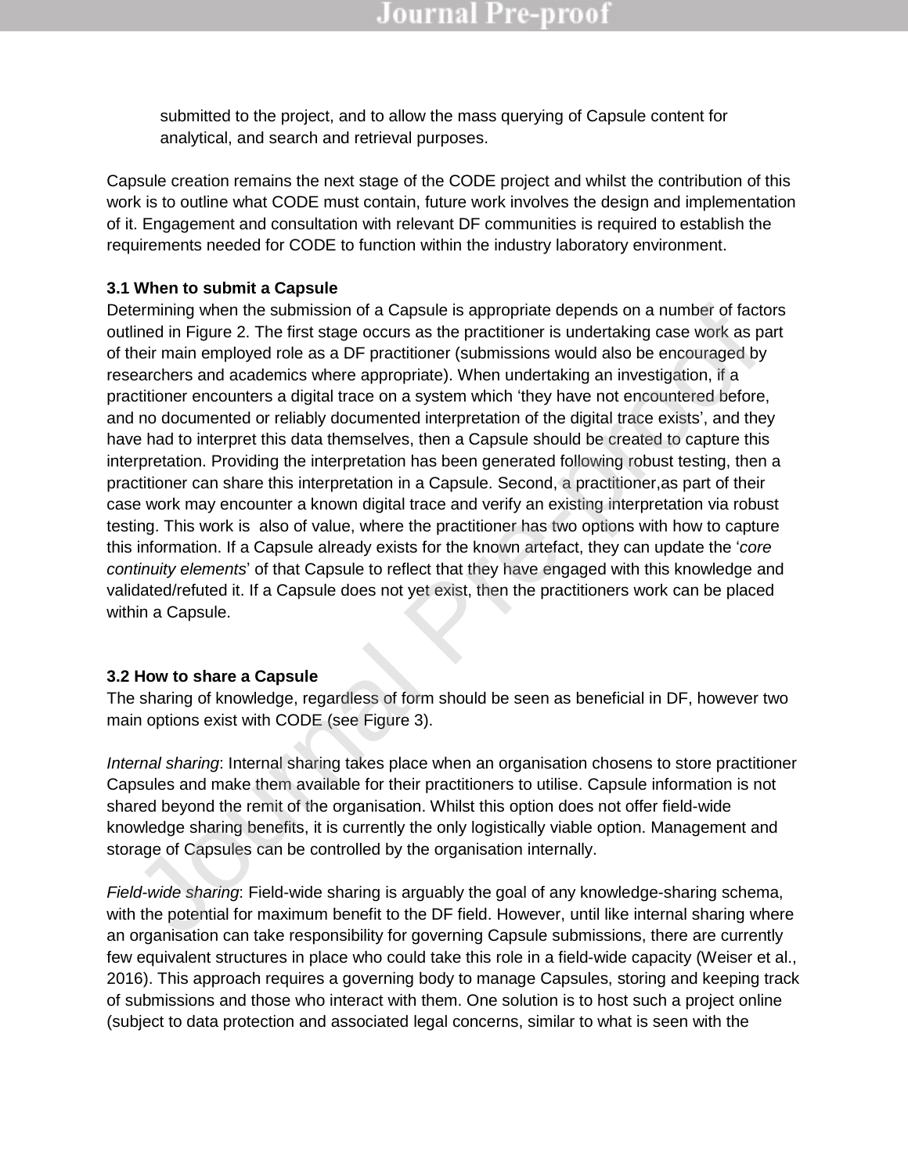submitted to the project, and to allow the mass querying of Capsule content for analytical, and search and retrieval purposes.

Capsule creation remains the next stage of the CODE project and whilst the contribution of this work is to outline what CODE must contain, future work involves the design and implementation of it. Engagement and consultation with relevant DF communities is required to establish the requirements needed for CODE to function within the industry laboratory environment.

### **3.1 When to submit a Capsule**

Determining when the submission of a Capsule is appropriate depends on a number of factors outlined in Figure 2. The first stage occurs as the practitioner is undertaking case work as part of their main employed role as a DF practitioner (submissions would also be encouraged by researchers and academics where appropriate). When undertaking an investigation, if a practitioner encounters a digital trace on a system which 'they have not encountered before, and no documented or reliably documented interpretation of the digital trace exists', and they have had to interpret this data themselves, then a Capsule should be created to capture this interpretation. Providing the interpretation has been generated following robust testing, then a practitioner can share this interpretation in a Capsule. Second, a practitioner,as part of their case work may encounter a known digital trace and verify an existing interpretation via robust testing. This work is also of value, where the practitioner has two options with how to capture this information. If a Capsule already exists for the known artefact, they can update the '*core continuity elements*' of that Capsule to reflect that they have engaged with this knowledge and validated/refuted it. If a Capsule does not yet exist, then the practitioners work can be placed within a Capsule. termining when the submission of a Capsule is appropriate depends on a number of factor<br>lined in Figure 2. The first stage occurs as the practitioner is undertaking case work as heir main employed role as a DF practitioner

#### **3.2 How to share a Capsule**

The sharing of knowledge, regardless of form should be seen as beneficial in DF, however two main options exist with CODE (see Figure 3).

*Internal sharing*: Internal sharing takes place when an organisation chosens to store practitioner Capsules and make them available for their practitioners to utilise. Capsule information is not shared beyond the remit of the organisation. Whilst this option does not offer field-wide knowledge sharing benefits, it is currently the only logistically viable option. Management and storage of Capsules can be controlled by the organisation internally.

*Field-wide sharing*: Field-wide sharing is arguably the goal of any knowledge-sharing schema, with the potential for maximum benefit to the DF field. However, until like internal sharing where an organisation can take responsibility for governing Capsule submissions, there are currently few equivalent structures in place who could take this role in a field-wide capacity (Weiser et al., 2016). This approach requires a governing body to manage Capsules, storing and keeping track of submissions and those who interact with them. One solution is to host such a project online (subject to data protection and associated legal concerns, similar to what is seen with the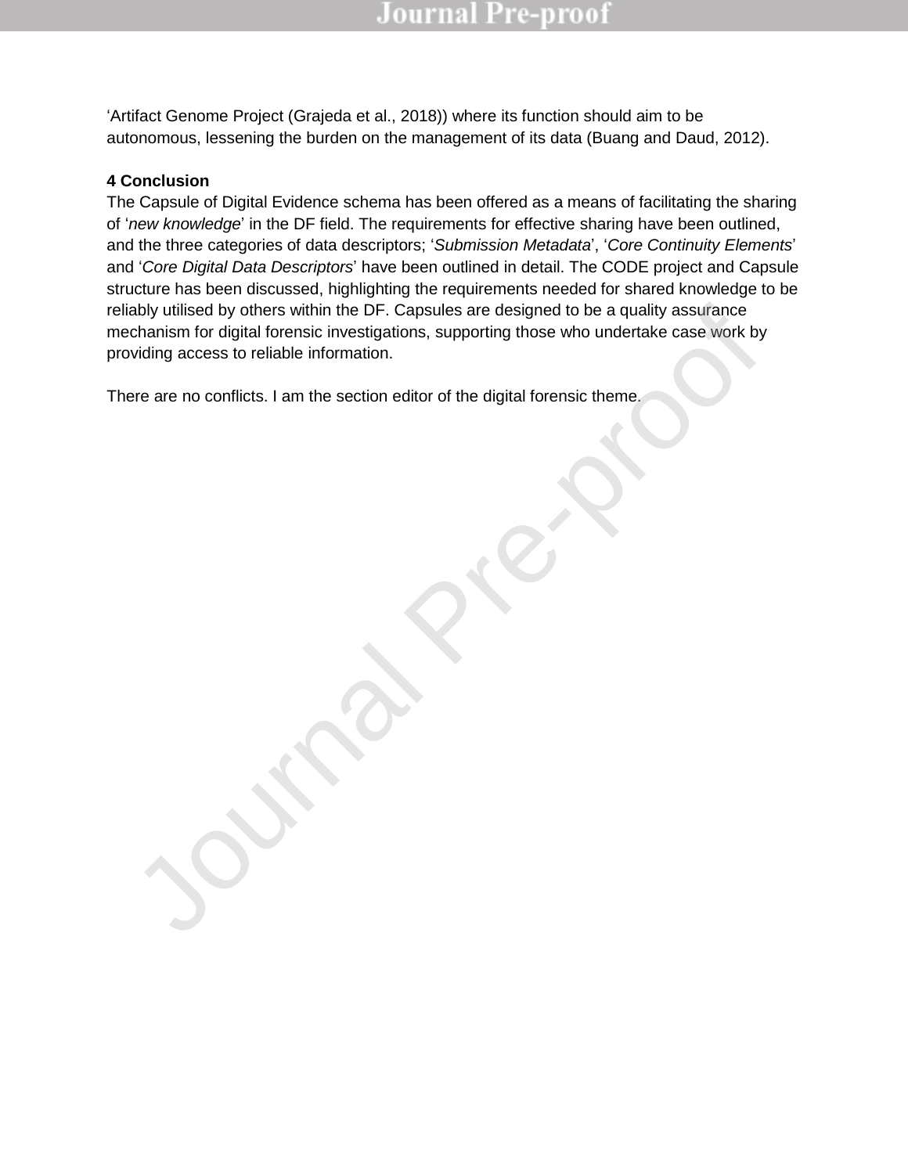'Artifact Genome Project (Grajeda et al., 2018)) where its function should aim to be autonomous, lessening the burden on the management of its data (Buang and Daud, 2012).

### **4 Conclusion**

The Capsule of Digital Evidence schema has been offered as a means of facilitating the sharing of '*new knowledge*' in the DF field. The requirements for effective sharing have been outlined, and the three categories of data descriptors; '*Submission Metadata*', '*Core Continuity Elements*' and '*Core Digital Data Descriptors*' have been outlined in detail. The CODE project and Capsule structure has been discussed, highlighting the requirements needed for shared knowledge to be reliably utilised by others within the DF. Capsules are designed to be a quality assurance mechanism for digital forensic investigations, supporting those who undertake case work by providing access to reliable information. reliably utilised by others within the DF. Capsules are designed to be a quality assurance<br>mechanism for digital forensic investigations, supporting those who undertake case work by<br>providing access to reliable information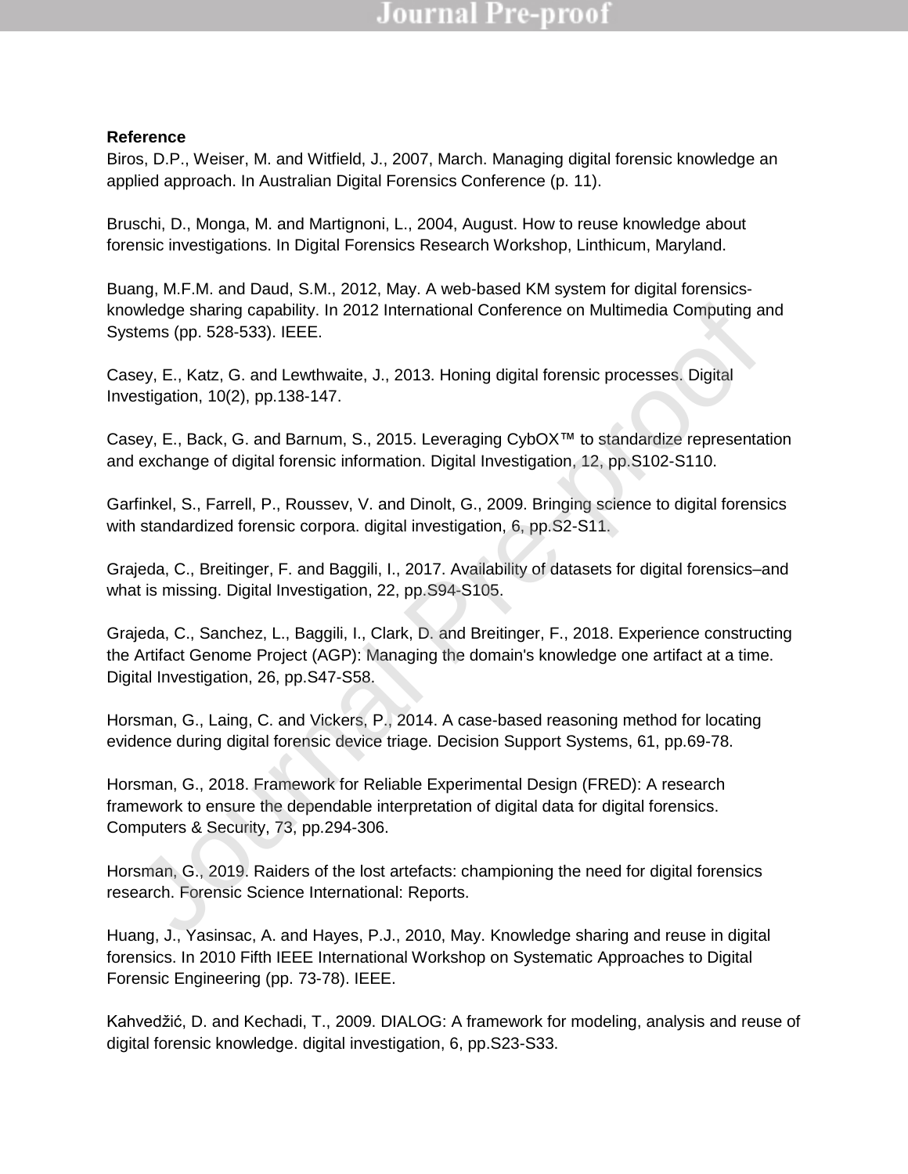### **Reference**

Biros, D.P., Weiser, M. and Witfield, J., 2007, March. Managing digital forensic knowledge an applied approach. In Australian Digital Forensics Conference (p. 11).

Bruschi, D., Monga, M. and Martignoni, L., 2004, August. How to reuse knowledge about forensic investigations. In Digital Forensics Research Workshop, Linthicum, Maryland.

Buang, M.F.M. and Daud, S.M., 2012, May. A web-based KM system for digital forensicsknowledge sharing capability. In 2012 International Conference on Multimedia Computing and Systems (pp. 528-533). IEEE.

Casey, E., Katz, G. and Lewthwaite, J., 2013. Honing digital forensic processes. Digital Investigation, 10(2), pp.138-147.

Casey, E., Back, G. and Barnum, S., 2015. Leveraging CybOX™ to standardize representation and exchange of digital forensic information. Digital Investigation, 12, pp.S102-S110.

Garfinkel, S., Farrell, P., Roussev, V. and Dinolt, G., 2009. Bringing science to digital forensics with standardized forensic corpora. digital investigation, 6, pp.S2-S11.

Grajeda, C., Breitinger, F. and Baggili, I., 2017. Availability of datasets for digital forensics–and what is missing. Digital Investigation, 22, pp.S94-S105.

Grajeda, C., Sanchez, L., Baggili, I., Clark, D. and Breitinger, F., 2018. Experience constructing the Artifact Genome Project (AGP): Managing the domain's knowledge one artifact at a time. Digital Investigation, 26, pp.S47-S58. wledge sharing capability. In 2012 International Conference on Multimedia Computing a<br>stems (pp. 528-533). IEEE.<br>esy, E., Katz, G. and Lewthwaite, J., 2013. Honing digital forensic processes. Digital<br>estigation, 10(2), p

Horsman, G., Laing, C. and Vickers, P., 2014. A case-based reasoning method for locating evidence during digital forensic device triage. Decision Support Systems, 61, pp.69-78.

Horsman, G., 2018. Framework for Reliable Experimental Design (FRED): A research framework to ensure the dependable interpretation of digital data for digital forensics. Computers & Security, 73, pp.294-306.

Horsman, G., 2019. Raiders of the lost artefacts: championing the need for digital forensics research. Forensic Science International: Reports.

Huang, J., Yasinsac, A. and Hayes, P.J., 2010, May. Knowledge sharing and reuse in digital forensics. In 2010 Fifth IEEE International Workshop on Systematic Approaches to Digital Forensic Engineering (pp. 73-78). IEEE.

Kahvedžić, D. and Kechadi, T., 2009. DIALOG: A framework for modeling, analysis and reuse of digital forensic knowledge. digital investigation, 6, pp.S23-S33.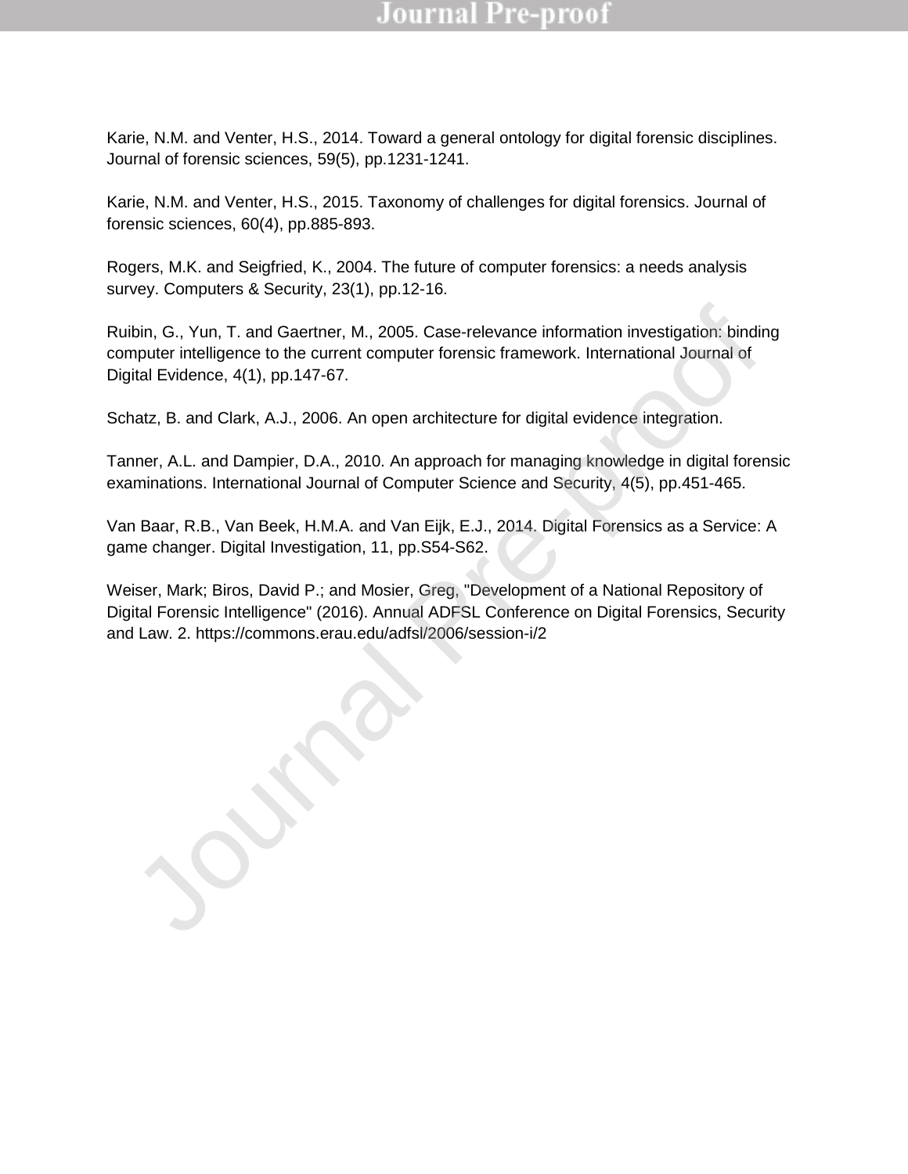Karie, N.M. and Venter, H.S., 2014. Toward a general ontology for digital forensic disciplines. Journal of forensic sciences, 59(5), pp.1231-1241.

Karie, N.M. and Venter, H.S., 2015. Taxonomy of challenges for digital forensics. Journal of forensic sciences, 60(4), pp.885-893.

Rogers, M.K. and Seigfried, K., 2004. The future of computer forensics: a needs analysis survey. Computers & Security, 23(1), pp.12-16.

Ruibin, G., Yun, T. and Gaertner, M., 2005. Case-relevance information investigation: binding computer intelligence to the current computer forensic framework. International Journal of Digital Evidence, 4(1), pp.147-67. Ruibin, G., Yun, T. and Gaertner, M., 2005. Case-re[l](https://commons.erau.edu/adfsl/2006/session-i/2)evance information investigation: bindicomputer intelligence to the current computer forensic framework. International Journal of Digital Evidence, 4(1), pp.147-67.<br>Schat

Schatz, B. and Clark, A.J., 2006. An open architecture for digital evidence integration.

Tanner, A.L. and Dampier, D.A., 2010. An approach for managing knowledge in digital forensic examinations. International Journal of Computer Science and Security, 4(5), pp.451-465.

Van Baar, R.B., Van Beek, H.M.A. and Van Eijk, E.J., 2014. Digital Forensics as a Service: A game changer. Digital Investigation, 11, pp.S54-S62.

Weiser, Mark; Biros, David P.; and Mosier, Greg, "Development of a National Repository of Digital Forensic Intelligence" (2016). Annual ADFSL Conference on Digital Forensics, Security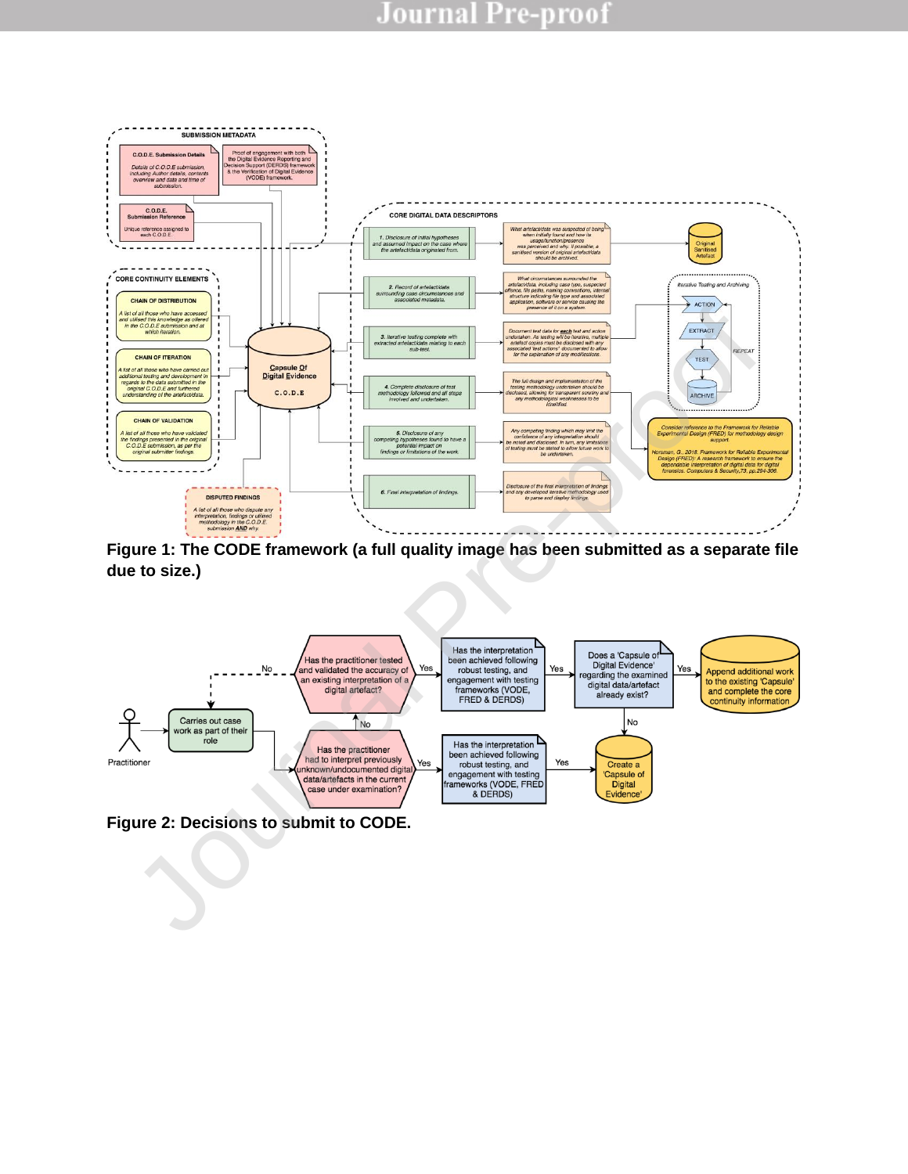

**Figure 1: The CODE framework (a full quality image has been submitted as a separate file due to size.)**